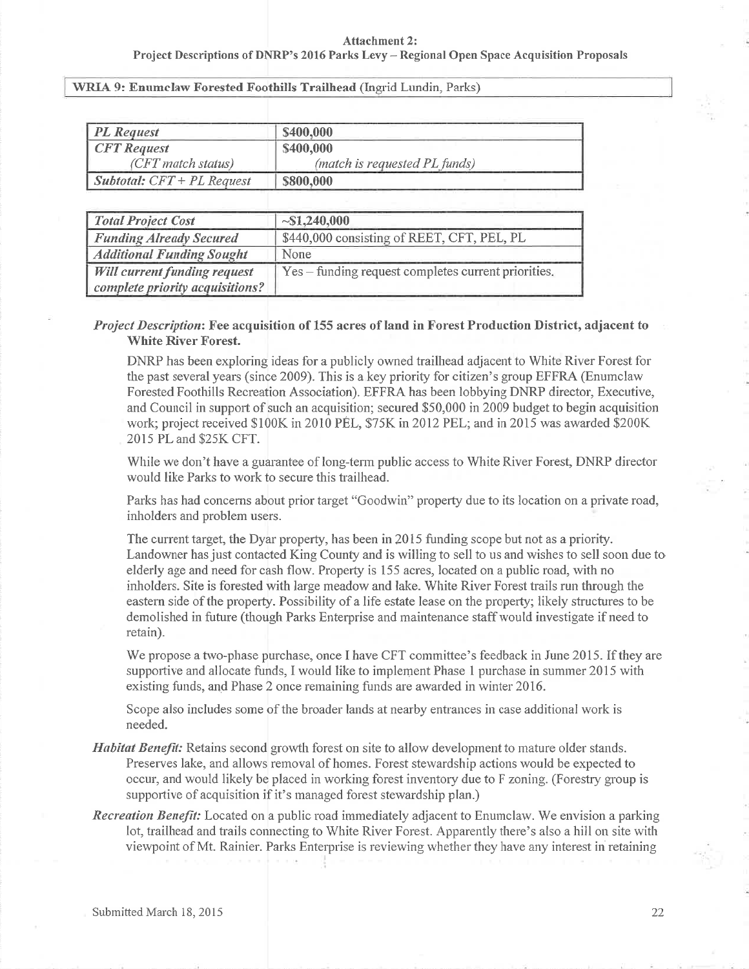## WRIA 9: Enumclaw Forested Foothills Trailhead (Ingrid Lundin, Parks)

| <b>PL</b> Request                   | \$400,000                     |  |
|-------------------------------------|-------------------------------|--|
| <b>CFT</b> Request                  | \$400,000                     |  |
| (CFT match status)                  | (match is requested PL funds) |  |
| <b>Subtotal:</b> $CFT + PL$ Request | \$800,000                     |  |

| <b>Total Project Cost</b>           | $\sim$ \$1,240,000                                  |
|-------------------------------------|-----------------------------------------------------|
| <b>Funding Already Secured</b>      | \$440,000 consisting of REET, CFT, PEL, PL          |
| <b>Additional Funding Sought</b>    | None                                                |
| <b>Will current funding request</b> | Yes – funding request completes current priorities. |
| complete priority acquisitions?     |                                                     |

## Project Description: Fee acquisition of 155 acres of land in Forest Production District, adjacent toWhite River Forest.

DNRP has been exploring ideas for a publicly owned trailhead adjacent to White River Forest forthe past several years (since 2009). This is a key priority for citizen's group EFFRA (Enumclaw Forested Foothills Recreation Association). EFFRA has been lobbying DNRP director, Executive, and Council in support of such an acquisition; secured \$50,000 in 2009 budget to begin acquisitionwork; project received \$100K in 2010 PEL, \$75K in 2012 PEL; and in 2015 was awarded \$200K 2015 PL and \$25K CFT.

While we don't have a guarantee of long-term public access to White River Forest, DNRP director would like Parks to work to secure this trailhead.

Parks has had concerns about prior target "Goodwin" property due to its location on a private road, inholders and problem users.

The current target, the Dyar property, has been in 2015 funding scope but not as a priority.Landowner has just contacted King County and is willing to sell to us and wishes to sell soon due to elderly age and need for cash flow. Property is 155 acres, located on a public road, with no inholders. Site is forested with large meadow and lake. White River Forest trails run through theeastern side of the property. Possibility of a life estate lease on the property; likely structures to be demolished in future (though Parks Enterprise and maintenarce staffwould investigate if need toretain).

We propose a two-phase purchase, once I have CFT committee's feedback in June 2015. If they are supportive and allocate funds, I would like to implement Phase I purchase in summer 2015 withexisting funds, and Phase 2 once remaining funds are awarded in winter 2016.

Scope also includes sorne of the broader lands at nearby entrances in case additional work isneeded.

- Habitat Benefit: Retains second growth forest on site to allow development to mature older stands. Preserves lake, and allows removal of homes. Forest stewardship actions would be expected tooccur, and would likely be placed in working forest inventory due to F zoning. (Forestry group is supportive of acquisition if it's managed forest stewardship plan.)
- **Recreation Benefit:** Located on a public road immediately adjacent to Enumclaw. We envision a parking lot, trailhead and trails connecting to White River Forest. Apparently there's also a hill on site with viewpoint of Mt. Rainier. Parks Enterprise is reviewing whether they have any interest in retaining